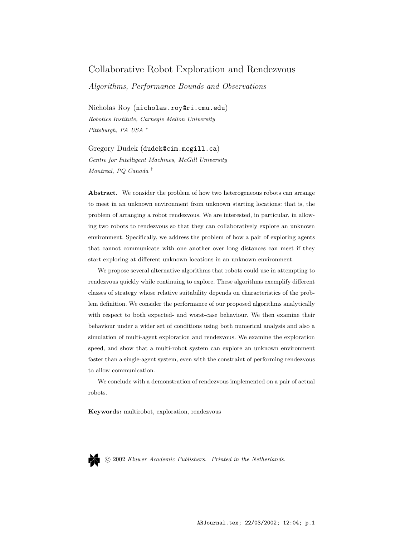# Collaborative Robot Exploration and Rendezvous

Algorithms, Performance Bounds and Observations

Nicholas Roy (nicholas.roy@ri.cmu.edu) Robotics Institute, Carnegie Mellon University Pittsburgh, PA USA <sup>∗</sup>

Gregory Dudek (dudek@cim.mcgill.ca) Centre for Intelligent Machines, McGill University Montreal, PQ Canada †

Abstract. We consider the problem of how two heterogeneous robots can arrange to meet in an unknown environment from unknown starting locations: that is, the problem of arranging a robot rendezvous. We are interested, in particular, in allowing two robots to rendezvous so that they can collaboratively explore an unknown environment. Specifically, we address the problem of how a pair of exploring agents that cannot communicate with one another over long distances can meet if they start exploring at different unknown locations in an unknown environment.

We propose several alternative algorithms that robots could use in attempting to rendezvous quickly while continuing to explore. These algorithms exemplify different classes of strategy whose relative suitability depends on characteristics of the problem definition. We consider the performance of our proposed algorithms analytically with respect to both expected- and worst-case behaviour. We then examine their behaviour under a wider set of conditions using both numerical analysis and also a simulation of multi-agent exploration and rendezvous. We examine the exploration speed, and show that a multi-robot system can explore an unknown environment faster than a single-agent system, even with the constraint of performing rendezvous to allow communication.

We conclude with a demonstration of rendezvous implemented on a pair of actual robots.

Keywords: multirobot, exploration, rendezvous



c 2002 Kluwer Academic Publishers. Printed in the Netherlands.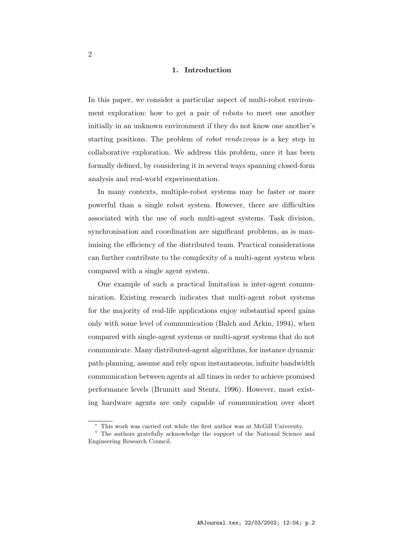#### 1. Introduction

In this paper, we consider a particular aspect of multi-robot environment exploration: how to get a pair of robots to meet one another initially in an unknown environment if they do not know one another's starting positions. The problem of robot rendezvous is a key step in collaborative exploration. We address this problem, once it has been formally defined, by considering it in several ways spanning closed-form analysis and real-world experimentation.

In many contexts, multiple-robot systems may be faster or more powerful than a single robot system. However, there are difficulties associated with the use of such multi-agent systems. Task division, synchronisation and coordination are significant problems, as is maximising the efficiency of the distributed team. Practical considerations can further contribute to the complexity of a multi-agent system when compared with a single agent system.

One example of such a practical limitation is inter-agent communication. Existing research indicates that multi-agent robot systems for the majority of real-life applications enjoy substantial speed gains only with some level of communication (Balch and Arkin, 1994), when compared with single-agent systems or multi-agent systems that do not communicate. Many distributed-agent algorithms, for instance dynamic path-planning, assume and rely upon instantaneous, infinite bandwidth communication between agents at all times in order to achieve promised performance levels (Brumitt and Stentz, 1996). However, most existing hardware agents are only capable of communication over short

<sup>∗</sup> This work was carried out while the first author was at McGill University.

<sup>†</sup> The authors gratefully acknowledge the support of the National Science and Engineering Research Council.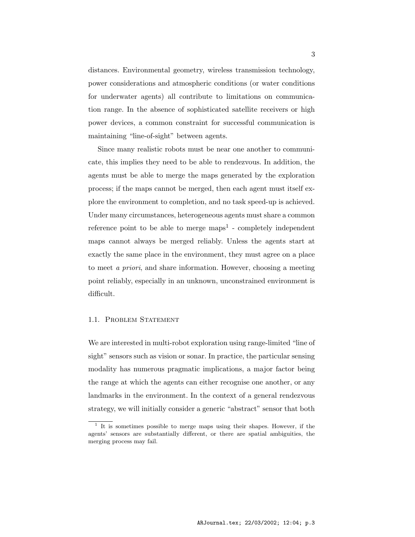distances. Environmental geometry, wireless transmission technology, power considerations and atmospheric conditions (or water conditions for underwater agents) all contribute to limitations on communication range. In the absence of sophisticated satellite receivers or high power devices, a common constraint for successful communication is maintaining "line-of-sight" between agents.

Since many realistic robots must be near one another to communicate, this implies they need to be able to rendezvous. In addition, the agents must be able to merge the maps generated by the exploration process; if the maps cannot be merged, then each agent must itself explore the environment to completion, and no task speed-up is achieved. Under many circumstances, heterogeneous agents must share a common reference point to be able to merge  $maps<sup>1</sup>$  - completely independent maps cannot always be merged reliably. Unless the agents start at exactly the same place in the environment, they must agree on a place to meet a priori, and share information. However, choosing a meeting point reliably, especially in an unknown, unconstrained environment is difficult.

# 1.1. PROBLEM STATEMENT

We are interested in multi-robot exploration using range-limited "line of sight" sensors such as vision or sonar. In practice, the particular sensing modality has numerous pragmatic implications, a major factor being the range at which the agents can either recognise one another, or any landmarks in the environment. In the context of a general rendezvous strategy, we will initially consider a generic "abstract" sensor that both

<sup>&</sup>lt;sup>1</sup> It is sometimes possible to merge maps using their shapes. However, if the agents' sensors are substantially different, or there are spatial ambiguities, the merging process may fail.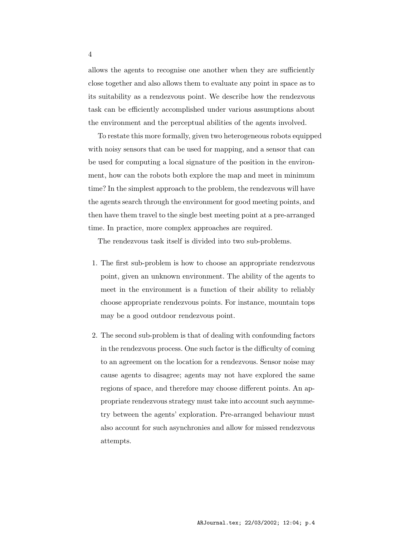allows the agents to recognise one another when they are sufficiently close together and also allows them to evaluate any point in space as to its suitability as a rendezvous point. We describe how the rendezvous task can be efficiently accomplished under various assumptions about the environment and the perceptual abilities of the agents involved.

To restate this more formally, given two heterogeneous robots equipped with noisy sensors that can be used for mapping, and a sensor that can be used for computing a local signature of the position in the environment, how can the robots both explore the map and meet in minimum time? In the simplest approach to the problem, the rendezvous will have the agents search through the environment for good meeting points, and then have them travel to the single best meeting point at a pre-arranged time. In practice, more complex approaches are required.

The rendezvous task itself is divided into two sub-problems.

- 1. The first sub-problem is how to choose an appropriate rendezvous point, given an unknown environment. The ability of the agents to meet in the environment is a function of their ability to reliably choose appropriate rendezvous points. For instance, mountain tops may be a good outdoor rendezvous point.
- 2. The second sub-problem is that of dealing with confounding factors in the rendezvous process. One such factor is the difficulty of coming to an agreement on the location for a rendezvous. Sensor noise may cause agents to disagree; agents may not have explored the same regions of space, and therefore may choose different points. An appropriate rendezvous strategy must take into account such asymmetry between the agents' exploration. Pre-arranged behaviour must also account for such asynchronies and allow for missed rendezvous attempts.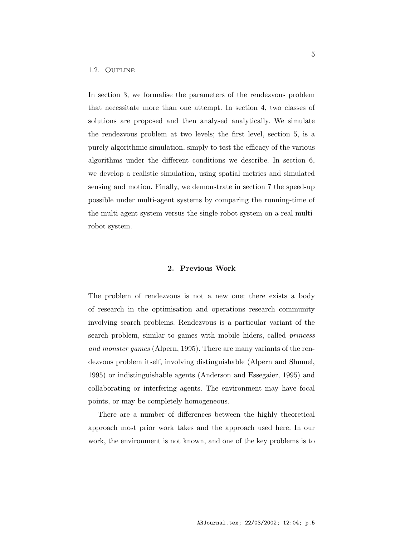#### 1.2. OUTLINE

In section 3, we formalise the parameters of the rendezvous problem that necessitate more than one attempt. In section 4, two classes of solutions are proposed and then analysed analytically. We simulate the rendezvous problem at two levels; the first level, section 5, is a purely algorithmic simulation, simply to test the efficacy of the various algorithms under the different conditions we describe. In section 6, we develop a realistic simulation, using spatial metrics and simulated sensing and motion. Finally, we demonstrate in section 7 the speed-up possible under multi-agent systems by comparing the running-time of the multi-agent system versus the single-robot system on a real multirobot system.

# 2. Previous Work

The problem of rendezvous is not a new one; there exists a body of research in the optimisation and operations research community involving search problems. Rendezvous is a particular variant of the search problem, similar to games with mobile hiders, called *princess* and monster games (Alpern, 1995). There are many variants of the rendezvous problem itself, involving distinguishable (Alpern and Shmuel, 1995) or indistinguishable agents (Anderson and Essegaier, 1995) and collaborating or interfering agents. The environment may have focal points, or may be completely homogeneous.

There are a number of differences between the highly theoretical approach most prior work takes and the approach used here. In our work, the environment is not known, and one of the key problems is to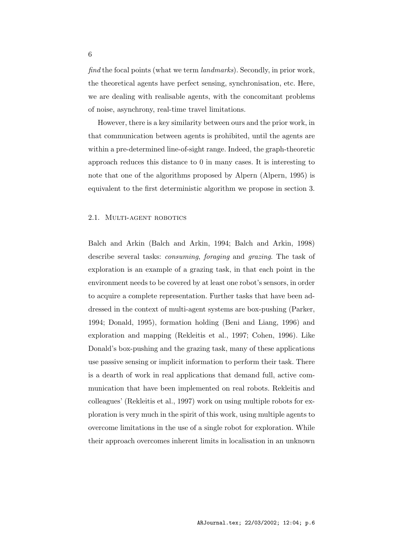find the focal points (what we term landmarks). Secondly, in prior work, the theoretical agents have perfect sensing, synchronisation, etc. Here, we are dealing with realisable agents, with the concomitant problems of noise, asynchrony, real-time travel limitations.

However, there is a key similarity between ours and the prior work, in that communication between agents is prohibited, until the agents are within a pre-determined line-of-sight range. Indeed, the graph-theoretic approach reduces this distance to 0 in many cases. It is interesting to note that one of the algorithms proposed by Alpern (Alpern, 1995) is equivalent to the first deterministic algorithm we propose in section 3.

#### 2.1. MULTI-AGENT ROBOTICS

Balch and Arkin (Balch and Arkin, 1994; Balch and Arkin, 1998) describe several tasks: consuming, foraging and grazing. The task of exploration is an example of a grazing task, in that each point in the environment needs to be covered by at least one robot's sensors, in order to acquire a complete representation. Further tasks that have been addressed in the context of multi-agent systems are box-pushing (Parker, 1994; Donald, 1995), formation holding (Beni and Liang, 1996) and exploration and mapping (Rekleitis et al., 1997; Cohen, 1996). Like Donald's box-pushing and the grazing task, many of these applications use passive sensing or implicit information to perform their task. There is a dearth of work in real applications that demand full, active communication that have been implemented on real robots. Rekleitis and colleagues' (Rekleitis et al., 1997) work on using multiple robots for exploration is very much in the spirit of this work, using multiple agents to overcome limitations in the use of a single robot for exploration. While their approach overcomes inherent limits in localisation in an unknown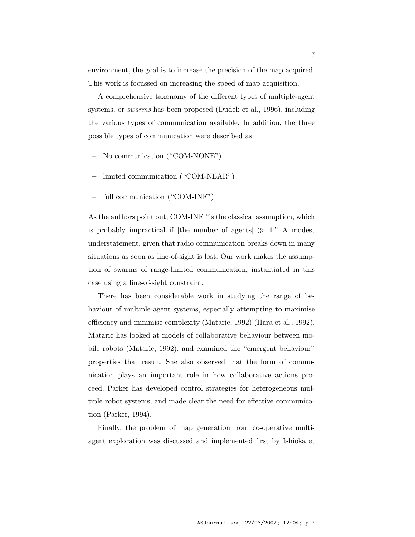environment, the goal is to increase the precision of the map acquired. This work is focussed on increasing the speed of map acquisition.

A comprehensive taxonomy of the different types of multiple-agent systems, or swarms has been proposed (Dudek et al., 1996), including the various types of communication available. In addition, the three possible types of communication were described as

- − No communication ("COM-NONE")
- − limited communication ("COM-NEAR")
- full communication ("COM-INF")

As the authors point out, COM-INF "is the classical assumption, which is probably impractical if [the number of agents]  $\gg 1$ ." A modest understatement, given that radio communication breaks down in many situations as soon as line-of-sight is lost. Our work makes the assumption of swarms of range-limited communication, instantiated in this case using a line-of-sight constraint.

There has been considerable work in studying the range of behaviour of multiple-agent systems, especially attempting to maximise efficiency and minimise complexity (Mataric, 1992) (Hara et al., 1992). Mataric has looked at models of collaborative behaviour between mobile robots (Mataric, 1992), and examined the "emergent behaviour" properties that result. She also observed that the form of communication plays an important role in how collaborative actions proceed. Parker has developed control strategies for heterogeneous multiple robot systems, and made clear the need for effective communication (Parker, 1994).

Finally, the problem of map generation from co-operative multiagent exploration was discussed and implemented first by Ishioka et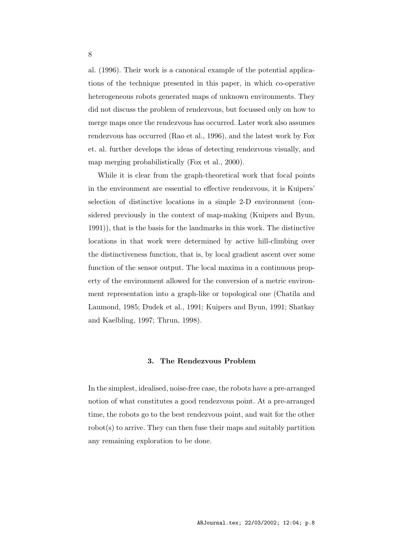al. (1996). Their work is a canonical example of the potential applications of the technique presented in this paper, in which co-operative heterogeneous robots generated maps of unknown environments. They did not discuss the problem of rendezvous, but focussed only on how to merge maps once the rendezvous has occurred. Later work also assumes rendezvous has occurred (Rao et al., 1996), and the latest work by Fox et. al. further develops the ideas of detecting rendezvous visually, and map merging probabilistically (Fox et al., 2000).

While it is clear from the graph-theoretical work that focal points in the environment are essential to effective rendezvous, it is Kuipers' selection of distinctive locations in a simple 2-D environment (considered previously in the context of map-making (Kuipers and Byun, 1991)), that is the basis for the landmarks in this work. The distinctive locations in that work were determined by active hill-climbing over the distinctiveness function, that is, by local gradient ascent over some function of the sensor output. The local maxima in a continuous property of the environment allowed for the conversion of a metric environment representation into a graph-like or topological one (Chatila and Laumond, 1985; Dudek et al., 1991; Kuipers and Byun, 1991; Shatkay and Kaelbling, 1997; Thrun, 1998).

# 3. The Rendezvous Problem

In the simplest, idealised, noise-free case, the robots have a pre-arranged notion of what constitutes a good rendezvous point. At a pre-arranged time, the robots go to the best rendezvous point, and wait for the other  $\rm robot(s)$  to arrive. They can then fuse their maps and suitably partition any remaining exploration to be done.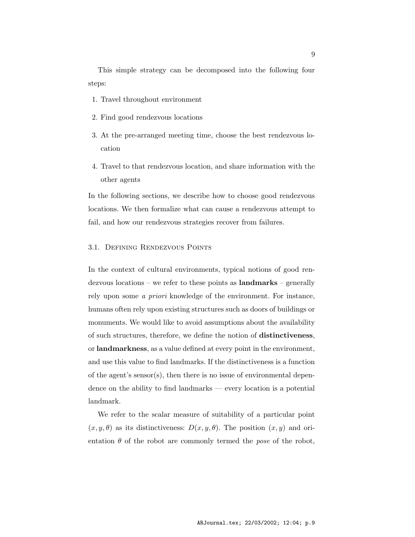This simple strategy can be decomposed into the following four steps:

- 1. Travel throughout environment
- 2. Find good rendezvous locations
- 3. At the pre-arranged meeting time, choose the best rendezvous location
- 4. Travel to that rendezvous location, and share information with the other agents

In the following sections, we describe how to choose good rendezvous locations. We then formalize what can cause a rendezvous attempt to fail, and how our rendezvous strategies recover from failures.

#### 3.1. Defining Rendezvous Points

In the context of cultural environments, typical notions of good rendezvous locations – we refer to these points as landmarks – generally rely upon some a priori knowledge of the environment. For instance, humans often rely upon existing structures such as doors of buildings or monuments. We would like to avoid assumptions about the availability of such structures, therefore, we define the notion of distinctiveness, or landmarkness, as a value defined at every point in the environment, and use this value to find landmarks. If the distinctiveness is a function of the agent's sensor(s), then there is no issue of environmental dependence on the ability to find landmarks — every location is a potential landmark.

We refer to the scalar measure of suitability of a particular point  $(x, y, \theta)$  as its distinctiveness:  $D(x, y, \theta)$ . The position  $(x, y)$  and orientation  $\theta$  of the robot are commonly termed the *pose* of the robot,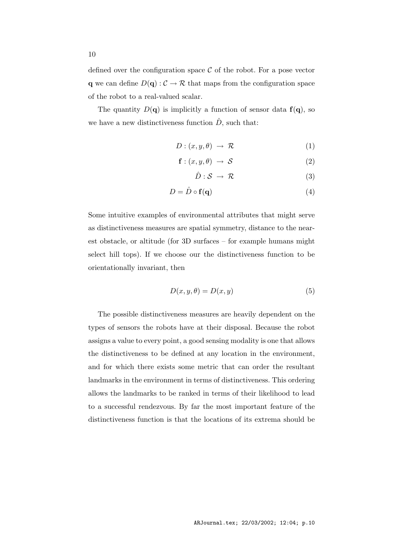defined over the configuration space  $\mathcal C$  of the robot. For a pose vector **q** we can define  $D(\mathbf{q}) : \mathcal{C} \to \mathcal{R}$  that maps from the configuration space of the robot to a real-valued scalar.

The quantity  $D(\mathbf{q})$  is implicitly a function of sensor data  $f(\mathbf{q})$ , so we have a new distinctiveness function  $\hat{D}$ , such that:

$$
D: (x, y, \theta) \to \mathcal{R} \tag{1}
$$

$$
\mathbf{f} : (x, y, \theta) \to \mathcal{S} \tag{2}
$$

$$
\hat{D}: \mathcal{S} \to \mathcal{R} \tag{3}
$$

$$
D = \hat{D} \circ \mathbf{f}(\mathbf{q}) \tag{4}
$$

Some intuitive examples of environmental attributes that might serve as distinctiveness measures are spatial symmetry, distance to the nearest obstacle, or altitude (for 3D surfaces – for example humans might select hill tops). If we choose our the distinctiveness function to be orientationally invariant, then

$$
D(x, y, \theta) = D(x, y) \tag{5}
$$

The possible distinctiveness measures are heavily dependent on the types of sensors the robots have at their disposal. Because the robot assigns a value to every point, a good sensing modality is one that allows the distinctiveness to be defined at any location in the environment, and for which there exists some metric that can order the resultant landmarks in the environment in terms of distinctiveness. This ordering allows the landmarks to be ranked in terms of their likelihood to lead to a successful rendezvous. By far the most important feature of the distinctiveness function is that the locations of its extrema should be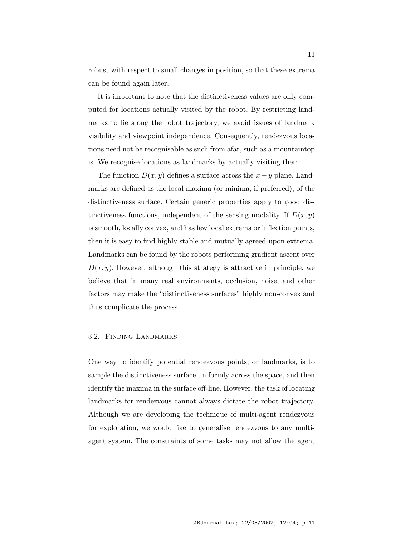robust with respect to small changes in position, so that these extrema can be found again later.

It is important to note that the distinctiveness values are only computed for locations actually visited by the robot. By restricting landmarks to lie along the robot trajectory, we avoid issues of landmark visibility and viewpoint independence. Consequently, rendezvous locations need not be recognisable as such from afar, such as a mountaintop is. We recognise locations as landmarks by actually visiting them.

The function  $D(x, y)$  defines a surface across the  $x - y$  plane. Landmarks are defined as the local maxima (or minima, if preferred), of the distinctiveness surface. Certain generic properties apply to good distinctiveness functions, independent of the sensing modality. If  $D(x, y)$ is smooth, locally convex, and has few local extrema or inflection points, then it is easy to find highly stable and mutually agreed-upon extrema. Landmarks can be found by the robots performing gradient ascent over  $D(x, y)$ . However, although this strategy is attractive in principle, we believe that in many real environments, occlusion, noise, and other factors may make the "distinctiveness surfaces" highly non-convex and thus complicate the process.

#### 3.2. Finding Landmarks

One way to identify potential rendezvous points, or landmarks, is to sample the distinctiveness surface uniformly across the space, and then identify the maxima in the surface off-line. However, the task of locating landmarks for rendezvous cannot always dictate the robot trajectory. Although we are developing the technique of multi-agent rendezvous for exploration, we would like to generalise rendezvous to any multiagent system. The constraints of some tasks may not allow the agent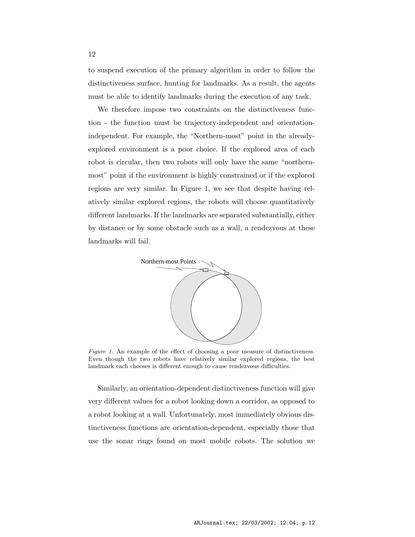to suspend execution of the primary algorithm in order to follow the distinctiveness surface, hunting for landmarks. As a result, the agents must be able to identify landmarks during the execution of any task.

We therefore impose two constraints on the distinctiveness function - the function must be trajectory-independent and orientationindependent. For example, the "Northern-most" point in the alreadyexplored environment is a poor choice. If the explored area of each robot is circular, then two robots will only have the same "northernmost" point if the environment is highly constrained or if the explored regions are very similar. In Figure 1, we see that despite having relatively similar explored regions, the robots will choose quantitatively different landmarks. If the landmarks are separated substantially, either by distance or by some obstacle such as a wall, a rendezvous at these landmarks will fail.



Figure 1. An example of the effect of choosing a poor measure of distinctiveness. Even though the two robots have relatively similar explored regions, the best landmark each chooses is different enough to cause rendezvous difficulties.

Similarly, an orientation-dependent distinctiveness function will give very different values for a robot looking down a corridor, as opposed to a robot looking at a wall. Unfortunately, most immediately obvious distinctiveness functions are orientation-dependent, especially those that use the sonar rings found on most mobile robots. The solution we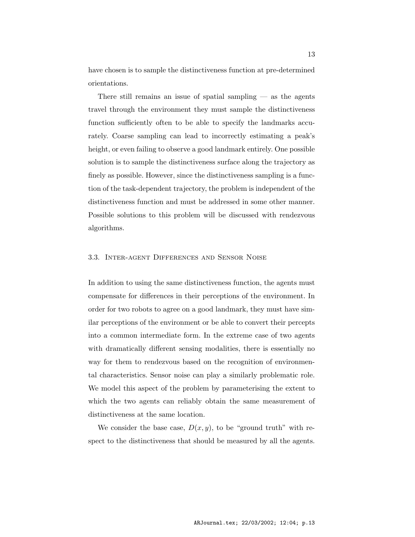have chosen is to sample the distinctiveness function at pre-determined orientations.

There still remains an issue of spatial sampling  $-$  as the agents travel through the environment they must sample the distinctiveness function sufficiently often to be able to specify the landmarks accurately. Coarse sampling can lead to incorrectly estimating a peak's height, or even failing to observe a good landmark entirely. One possible solution is to sample the distinctiveness surface along the trajectory as finely as possible. However, since the distinctiveness sampling is a function of the task-dependent trajectory, the problem is independent of the distinctiveness function and must be addressed in some other manner. Possible solutions to this problem will be discussed with rendezvous algorithms.

### 3.3. Inter-agent Differences and Sensor Noise

In addition to using the same distinctiveness function, the agents must compensate for differences in their perceptions of the environment. In order for two robots to agree on a good landmark, they must have similar perceptions of the environment or be able to convert their percepts into a common intermediate form. In the extreme case of two agents with dramatically different sensing modalities, there is essentially no way for them to rendezvous based on the recognition of environmental characteristics. Sensor noise can play a similarly problematic role. We model this aspect of the problem by parameterising the extent to which the two agents can reliably obtain the same measurement of distinctiveness at the same location.

We consider the base case,  $D(x, y)$ , to be "ground truth" with respect to the distinctiveness that should be measured by all the agents.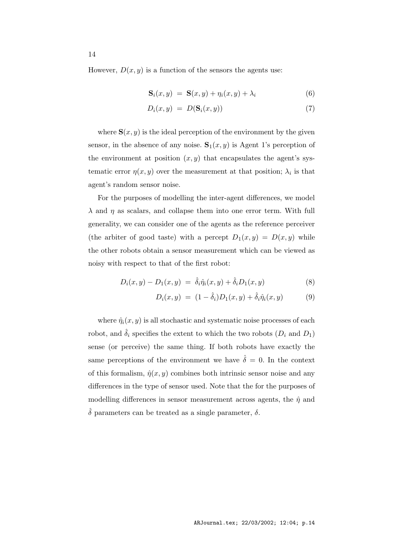However,  $D(x, y)$  is a function of the sensors the agents use:

$$
\mathbf{S}_i(x, y) = \mathbf{S}(x, y) + \eta_i(x, y) + \lambda_i \tag{6}
$$

$$
D_i(x, y) = D(\mathbf{S}_i(x, y)) \tag{7}
$$

where  $S(x, y)$  is the ideal perception of the environment by the given sensor, in the absence of any noise.  $S_1(x, y)$  is Agent 1's perception of the environment at position  $(x, y)$  that encapsulates the agent's systematic error  $\eta(x, y)$  over the measurement at that position;  $\lambda_i$  is that agent's random sensor noise.

For the purposes of modelling the inter-agent differences, we model  $\lambda$  and  $\eta$  as scalars, and collapse them into one error term. With full generality, we can consider one of the agents as the reference perceiver (the arbiter of good taste) with a percept  $D_1(x, y) = D(x, y)$  while the other robots obtain a sensor measurement which can be viewed as noisy with respect to that of the first robot:

$$
D_i(x, y) - D_1(x, y) = \hat{\delta}_i \hat{\eta}_i(x, y) + \hat{\delta}_i D_1(x, y)
$$
\n(8)

$$
D_i(x, y) = (1 - \hat{\delta}_i) D_1(x, y) + \hat{\delta}_i \hat{\eta}_i(x, y)
$$
(9)

where  $\hat{\eta}_i(x, y)$  is all stochastic and systematic noise processes of each robot, and  $\hat{\delta}_i$  specifies the extent to which the two robots  $(D_i \text{ and } D_1)$ sense (or perceive) the same thing. If both robots have exactly the same perceptions of the environment we have  $\hat{\delta} = 0$ . In the context of this formalism,  $\hat{\eta}(x, y)$  combines both intrinsic sensor noise and any differences in the type of sensor used. Note that the for the purposes of modelling differences in sensor measurement across agents, the  $\hat{\eta}$  and  $\hat{\delta}$  parameters can be treated as a single parameter,  $\delta$ .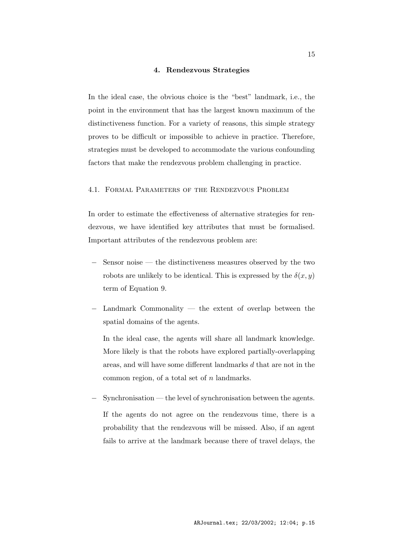#### 4. Rendezvous Strategies

In the ideal case, the obvious choice is the "best" landmark, i.e., the point in the environment that has the largest known maximum of the distinctiveness function. For a variety of reasons, this simple strategy proves to be difficult or impossible to achieve in practice. Therefore, strategies must be developed to accommodate the various confounding factors that make the rendezvous problem challenging in practice.

### 4.1. Formal Parameters of the Rendezvous Problem

In order to estimate the effectiveness of alternative strategies for rendezvous, we have identified key attributes that must be formalised. Important attributes of the rendezvous problem are:

- Sensor noise the distinctiveness measures observed by the two robots are unlikely to be identical. This is expressed by the  $\delta(x, y)$ term of Equation 9.
- Landmark Commonality the extent of overlap between the spatial domains of the agents.

In the ideal case, the agents will share all landmark knowledge. More likely is that the robots have explored partially-overlapping areas, and will have some different landmarks d that are not in the common region, of a total set of n landmarks.

Synchronisation — the level of synchronisation between the agents. If the agents do not agree on the rendezvous time, there is a probability that the rendezvous will be missed. Also, if an agent fails to arrive at the landmark because there of travel delays, the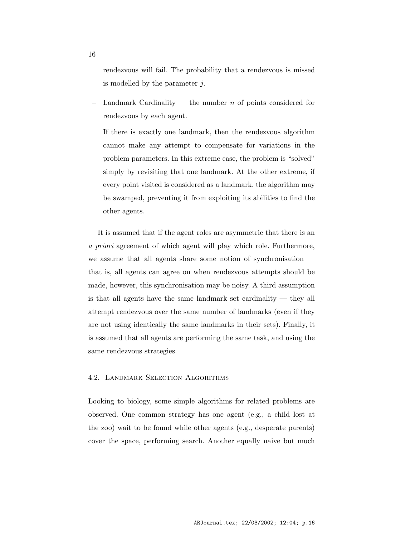rendezvous will fail. The probability that a rendezvous is missed is modelled by the parameter  $j$ .

Landmark Cardinality — the number  $n$  of points considered for rendezvous by each agent.

If there is exactly one landmark, then the rendezvous algorithm cannot make any attempt to compensate for variations in the problem parameters. In this extreme case, the problem is "solved" simply by revisiting that one landmark. At the other extreme, if every point visited is considered as a landmark, the algorithm may be swamped, preventing it from exploiting its abilities to find the other agents.

It is assumed that if the agent roles are asymmetric that there is an a priori agreement of which agent will play which role. Furthermore, we assume that all agents share some notion of synchronisation that is, all agents can agree on when rendezvous attempts should be made, however, this synchronisation may be noisy. A third assumption is that all agents have the same landmark set cardinality — they all attempt rendezvous over the same number of landmarks (even if they are not using identically the same landmarks in their sets). Finally, it is assumed that all agents are performing the same task, and using the same rendezvous strategies.

# 4.2. Landmark Selection Algorithms

Looking to biology, some simple algorithms for related problems are observed. One common strategy has one agent (e.g., a child lost at the zoo) wait to be found while other agents (e.g., desperate parents) cover the space, performing search. Another equally naive but much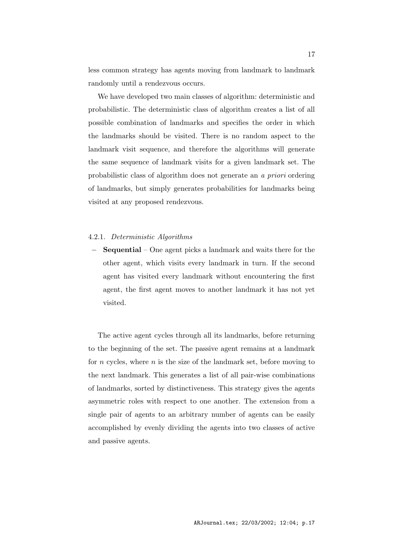less common strategy has agents moving from landmark to landmark randomly until a rendezvous occurs.

We have developed two main classes of algorithm: deterministic and probabilistic. The deterministic class of algorithm creates a list of all possible combination of landmarks and specifies the order in which the landmarks should be visited. There is no random aspect to the landmark visit sequence, and therefore the algorithms will generate the same sequence of landmark visits for a given landmark set. The probabilistic class of algorithm does not generate an a priori ordering of landmarks, but simply generates probabilities for landmarks being visited at any proposed rendezvous.

#### 4.2.1. Deterministic Algorithms

Sequential – One agent picks a landmark and waits there for the other agent, which visits every landmark in turn. If the second agent has visited every landmark without encountering the first agent, the first agent moves to another landmark it has not yet visited.

The active agent cycles through all its landmarks, before returning to the beginning of the set. The passive agent remains at a landmark for  $n$  cycles, where  $n$  is the size of the landmark set, before moving to the next landmark. This generates a list of all pair-wise combinations of landmarks, sorted by distinctiveness. This strategy gives the agents asymmetric roles with respect to one another. The extension from a single pair of agents to an arbitrary number of agents can be easily accomplished by evenly dividing the agents into two classes of active and passive agents.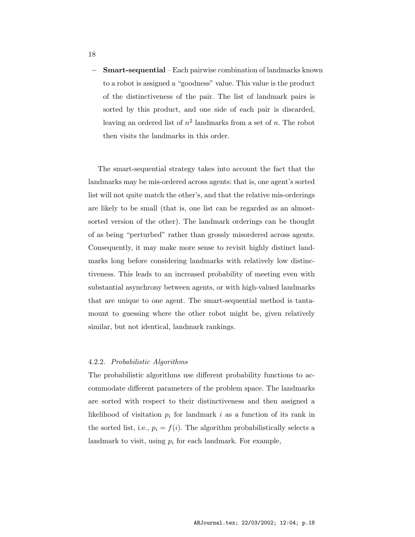− Smart-sequential – Each pairwise combination of landmarks known to a robot is assigned a "goodness" value. This value is the product of the distinctiveness of the pair. The list of landmark pairs is sorted by this product, and one side of each pair is discarded, leaving an ordered list of  $n^2$  landmarks from a set of n. The robot then visits the landmarks in this order.

The smart-sequential strategy takes into account the fact that the landmarks may be mis-ordered across agents: that is, one agent's sorted list will not quite match the other's, and that the relative mis-orderings are likely to be small (that is, one list can be regarded as an almostsorted version of the other). The landmark orderings can be thought of as being "perturbed" rather than grossly misordered across agents. Consequently, it may make more sense to revisit highly distinct landmarks long before considering landmarks with relatively low distinctiveness. This leads to an increased probability of meeting even with substantial asynchrony between agents, or with high-valued landmarks that are unique to one agent. The smart-sequential method is tantamount to guessing where the other robot might be, given relatively similar, but not identical, landmark rankings.

#### 4.2.2. Probabilistic Algorithms

The probabilistic algorithms use different probability functions to accommodate different parameters of the problem space. The landmarks are sorted with respect to their distinctiveness and then assigned a likelihood of visitation  $p_i$  for landmark i as a function of its rank in the sorted list, i.e.,  $p_i = f(i)$ . The algorithm probabilistically selects a landmark to visit, using  $p_i$  for each landmark. For example,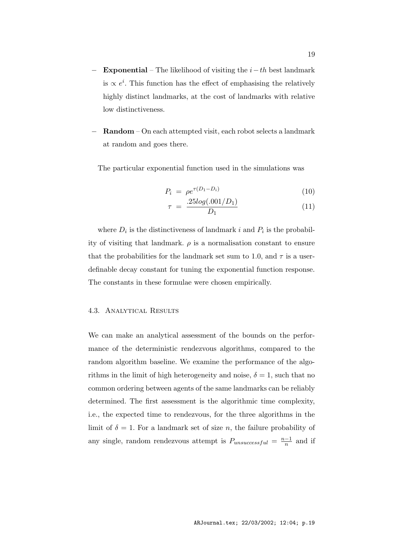- Exponential The likelihood of visiting the  $i-th$  best landmark is  $\propto e^i$ . This function has the effect of emphasising the relatively highly distinct landmarks, at the cost of landmarks with relative low distinctiveness.
- − Random On each attempted visit, each robot selects a landmark at random and goes there.

The particular exponential function used in the simulations was

$$
P_i = \rho e^{\tau (D_1 - D_i)} \tag{10}
$$

$$
\tau = \frac{.25log(.001/D_1)}{D_1} \tag{11}
$$

where  $D_i$  is the distinctiveness of landmark i and  $P_i$  is the probability of visiting that landmark.  $\rho$  is a normalisation constant to ensure that the probabilities for the landmark set sum to 1.0, and  $\tau$  is a userdefinable decay constant for tuning the exponential function response. The constants in these formulae were chosen empirically.

#### 4.3. Analytical Results

We can make an analytical assessment of the bounds on the performance of the deterministic rendezvous algorithms, compared to the random algorithm baseline. We examine the performance of the algorithms in the limit of high heterogeneity and noise,  $\delta = 1$ , such that no common ordering between agents of the same landmarks can be reliably determined. The first assessment is the algorithmic time complexity, i.e., the expected time to rendezvous, for the three algorithms in the limit of  $\delta = 1$ . For a landmark set of size n, the failure probability of any single, random rendezvous attempt is  $P_{unsuccessful} = \frac{n-1}{n}$  and if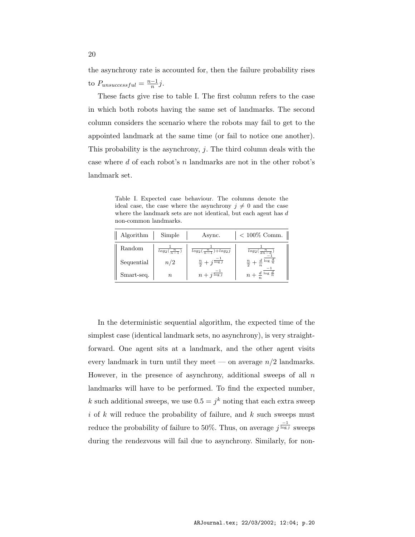the asynchrony rate is accounted for, then the failure probability rises to  $P_{unsuccessful} = \frac{n-1}{n}j$ .

These facts give rise to table I. The first column refers to the case in which both robots having the same set of landmarks. The second column considers the scenario where the robots may fail to get to the appointed landmark at the same time (or fail to notice one another). This probability is the asynchrony,  $j$ . The third column deals with the case where  $d$  of each robot's  $n$  landmarks are not in the other robot's landmark set.

Table I. Expected case behaviour. The columns denote the ideal case, the case where the asynchrony  $j \neq 0$  and the case where the landmark sets are not identical, but each agent has  $d$ non-common landmarks.

| Algorithm  | Simple                 | Async.                                  | $< 100\%$ Comm.                             |
|------------|------------------------|-----------------------------------------|---------------------------------------------|
| Random     | $log_2(\frac{n}{n-1})$ | $log_2(\frac{n}{n-1}) + log_2 j$        | $log_2(\frac{n}{dn-d})$                     |
| Sequential | n/2                    | $\frac{n}{2}+j^{\frac{\log j}{\log j}}$ | $\frac{n}{2}+\frac{d}{n}$ log $\frac{d}{n}$ |
| Smart-seq. | $\, n$                 | $n+j^{\frac{-1}{\log j}}$               | $n+\frac{d}{t}$ log $\frac{d}{n}$           |

In the deterministic sequential algorithm, the expected time of the simplest case (identical landmark sets, no asynchrony), is very straightforward. One agent sits at a landmark, and the other agent visits every landmark in turn until they meet — on average  $n/2$  landmarks. However, in the presence of asynchrony, additional sweeps of all  $n$ landmarks will have to be performed. To find the expected number, k such additional sweeps, we use  $0.5 = j^k$  noting that each extra sweep i of  $k$  will reduce the probability of failure, and  $k$  such sweeps must reduce the probability of failure to 50%. Thus, on average  $j^{\frac{-1}{\log j}}$  sweeps during the rendezvous will fail due to asynchrony. Similarly, for non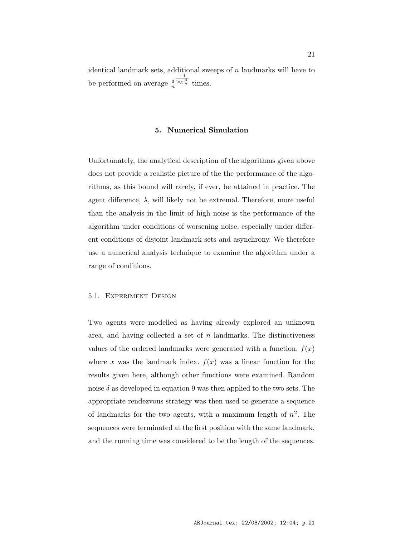identical landmark sets, additional sweeps of  $n$  landmarks will have to be performed on average  $\frac{d}{n}$  $\frac{-1}{\log \frac{d}{n}}$  times.

# 5. Numerical Simulation

Unfortunately, the analytical description of the algorithms given above does not provide a realistic picture of the the performance of the algorithms, as this bound will rarely, if ever, be attained in practice. The agent difference,  $\lambda$ , will likely not be extremal. Therefore, more useful than the analysis in the limit of high noise is the performance of the algorithm under conditions of worsening noise, especially under different conditions of disjoint landmark sets and asynchrony. We therefore use a numerical analysis technique to examine the algorithm under a range of conditions.

# 5.1. Experiment Design

Two agents were modelled as having already explored an unknown area, and having collected a set of  $n$  landmarks. The distinctiveness values of the ordered landmarks were generated with a function,  $f(x)$ where x was the landmark index.  $f(x)$  was a linear function for the results given here, although other functions were examined. Random noise  $\delta$  as developed in equation 9 was then applied to the two sets. The appropriate rendezvous strategy was then used to generate a sequence of landmarks for the two agents, with a maximum length of  $n^2$ . The sequences were terminated at the first position with the same landmark, and the running time was considered to be the length of the sequences.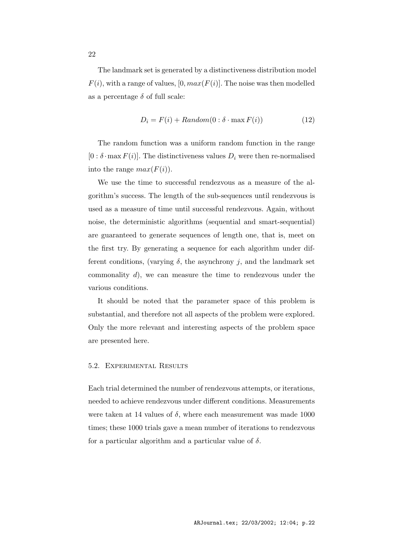The landmark set is generated by a distinctiveness distribution model  $F(i)$ , with a range of values, [0,  $max(F(i))$ ]. The noise was then modelled as a percentage  $\delta$  of full scale:

$$
D_i = F(i) + Random(0 : \delta \cdot \max F(i))
$$
\n(12)

The random function was a uniform random function in the range  $[0 : \delta \cdot \max F(i)]$ . The distinctiveness values  $D_i$  were then re-normalised into the range  $max(F(i))$ .

We use the time to successful rendezvous as a measure of the algorithm's success. The length of the sub-sequences until rendezvous is used as a measure of time until successful rendezvous. Again, without noise, the deterministic algorithms (sequential and smart-sequential) are guaranteed to generate sequences of length one, that is, meet on the first try. By generating a sequence for each algorithm under different conditions, (varying  $\delta$ , the asynchrony j, and the landmark set commonality  $d$ , we can measure the time to rendezvous under the various conditions.

It should be noted that the parameter space of this problem is substantial, and therefore not all aspects of the problem were explored. Only the more relevant and interesting aspects of the problem space are presented here.

# 5.2. Experimental Results

Each trial determined the number of rendezvous attempts, or iterations, needed to achieve rendezvous under different conditions. Measurements were taken at 14 values of  $\delta$ , where each measurement was made 1000 times; these 1000 trials gave a mean number of iterations to rendezvous for a particular algorithm and a particular value of  $\delta$ .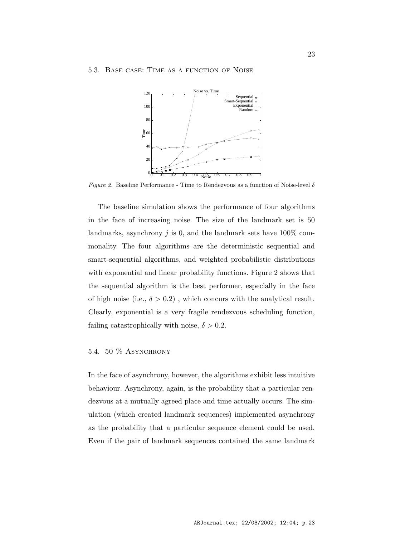#### 5.3. Base case: Time as a function of Noise



*Figure 2.* Baseline Performance - Time to Rendezvous as a function of Noise-level  $\delta$ 

The baseline simulation shows the performance of four algorithms in the face of increasing noise. The size of the landmark set is 50 landmarks, asynchrony  $j$  is 0, and the landmark sets have  $100\%$  commonality. The four algorithms are the deterministic sequential and smart-sequential algorithms, and weighted probabilistic distributions with exponential and linear probability functions. Figure 2 shows that the sequential algorithm is the best performer, especially in the face of high noise (i.e.,  $\delta > 0.2$ ), which concurs with the analytical result. Clearly, exponential is a very fragile rendezvous scheduling function, failing catastrophically with noise,  $\delta > 0.2$ .

# 5.4. 50 % ASYNCHRONY

In the face of asynchrony, however, the algorithms exhibit less intuitive behaviour. Asynchrony, again, is the probability that a particular rendezvous at a mutually agreed place and time actually occurs. The simulation (which created landmark sequences) implemented asynchrony as the probability that a particular sequence element could be used. Even if the pair of landmark sequences contained the same landmark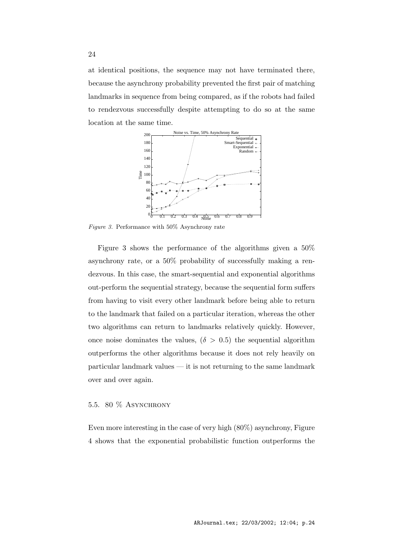at identical positions, the sequence may not have terminated there, because the asynchrony probability prevented the first pair of matching landmarks in sequence from being compared, as if the robots had failed to rendezvous successfully despite attempting to do so at the same location at the same time.



Figure 3. Performance with 50% Asynchrony rate

Figure 3 shows the performance of the algorithms given a 50% asynchrony rate, or a 50% probability of successfully making a rendezvous. In this case, the smart-sequential and exponential algorithms out-perform the sequential strategy, because the sequential form suffers from having to visit every other landmark before being able to return to the landmark that failed on a particular iteration, whereas the other two algorithms can return to landmarks relatively quickly. However, once noise dominates the values,  $(\delta > 0.5)$  the sequential algorithm outperforms the other algorithms because it does not rely heavily on particular landmark values — it is not returning to the same landmark over and over again.

# 5.5. 80  $%$  ASYNCHRONY

Even more interesting in the case of very high (80%) asynchrony, Figure 4 shows that the exponential probabilistic function outperforms the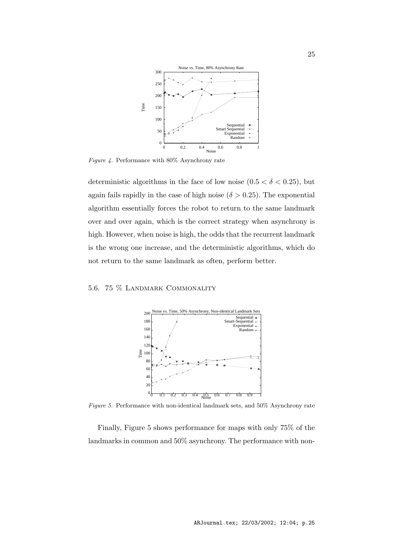

Figure 4. Performance with 80% Asynchrony rate

deterministic algorithms in the face of low noise  $(0.5 < \delta < 0.25)$ , but again fails rapidly in the case of high noise ( $\delta > 0.25$ ). The exponential algorithm essentially forces the robot to return to the same landmark over and over again, which is the correct strategy when asynchrony is high. However, when noise is high, the odds that the recurrent landmark is the wrong one increase, and the deterministic algorithms, which do not return to the same landmark as often, perform better.

# 5.6. 75 % Landmark Commonality



Figure 5. Performance with non-identical landmark sets, and 50% Asynchrony rate

Finally, Figure 5 shows performance for maps with only 75% of the landmarks in common and 50% asynchrony. The performance with non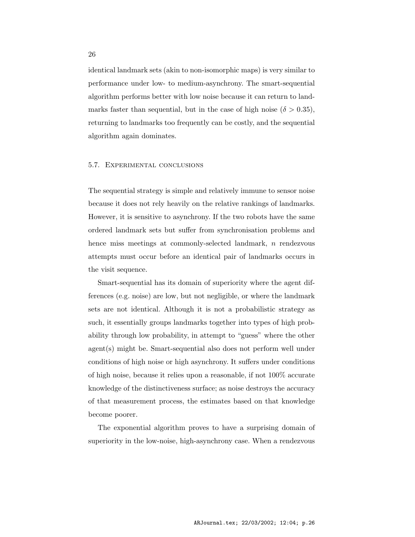identical landmark sets (akin to non-isomorphic maps) is very similar to performance under low- to medium-asynchrony. The smart-sequential algorithm performs better with low noise because it can return to landmarks faster than sequential, but in the case of high noise ( $\delta > 0.35$ ), returning to landmarks too frequently can be costly, and the sequential algorithm again dominates.

#### 5.7. Experimental conclusions

The sequential strategy is simple and relatively immune to sensor noise because it does not rely heavily on the relative rankings of landmarks. However, it is sensitive to asynchrony. If the two robots have the same ordered landmark sets but suffer from synchronisation problems and hence miss meetings at commonly-selected landmark, n rendezvous attempts must occur before an identical pair of landmarks occurs in the visit sequence.

Smart-sequential has its domain of superiority where the agent differences (e.g. noise) are low, but not negligible, or where the landmark sets are not identical. Although it is not a probabilistic strategy as such, it essentially groups landmarks together into types of high probability through low probability, in attempt to "guess" where the other agent(s) might be. Smart-sequential also does not perform well under conditions of high noise or high asynchrony. It suffers under conditions of high noise, because it relies upon a reasonable, if not 100% accurate knowledge of the distinctiveness surface; as noise destroys the accuracy of that measurement process, the estimates based on that knowledge become poorer.

The exponential algorithm proves to have a surprising domain of superiority in the low-noise, high-asynchrony case. When a rendezvous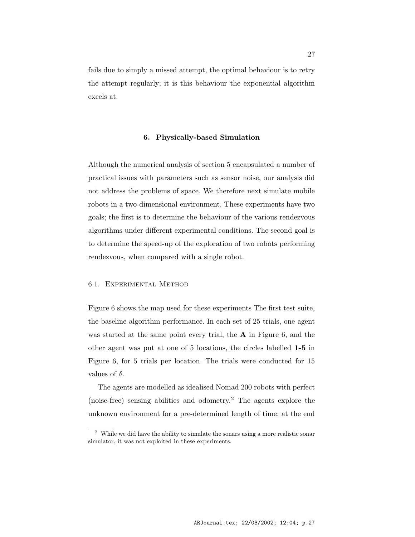fails due to simply a missed attempt, the optimal behaviour is to retry the attempt regularly; it is this behaviour the exponential algorithm excels at.

#### 6. Physically-based Simulation

Although the numerical analysis of section 5 encapsulated a number of practical issues with parameters such as sensor noise, our analysis did not address the problems of space. We therefore next simulate mobile robots in a two-dimensional environment. These experiments have two goals; the first is to determine the behaviour of the various rendezvous algorithms under different experimental conditions. The second goal is to determine the speed-up of the exploration of two robots performing rendezvous, when compared with a single robot.

# 6.1. Experimental Method

Figure 6 shows the map used for these experiments The first test suite, the baseline algorithm performance. In each set of 25 trials, one agent was started at the same point every trial, the  $A$  in Figure 6, and the other agent was put at one of 5 locations, the circles labelled 1-5 in Figure 6, for 5 trials per location. The trials were conducted for 15 values of  $\delta$ .

The agents are modelled as idealised Nomad 200 robots with perfect (noise-free) sensing abilities and odometry. <sup>2</sup> The agents explore the unknown environment for a pre-determined length of time; at the end

<sup>&</sup>lt;sup>2</sup> While we did have the ability to simulate the sonars using a more realistic sonar simulator, it was not exploited in these experiments.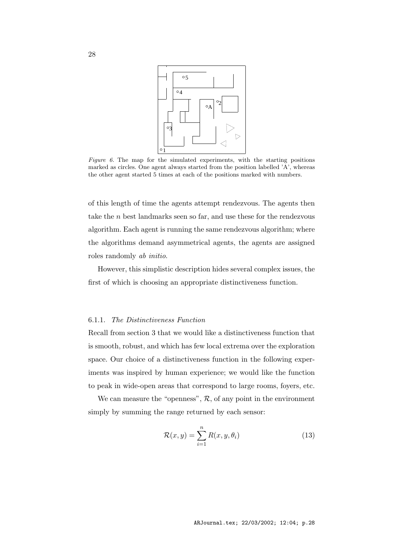

Figure 6. The map for the simulated experiments, with the starting positions marked as circles. One agent always started from the position labelled 'A', whereas the other agent started 5 times at each of the positions marked with numbers.

of this length of time the agents attempt rendezvous. The agents then take the  $n$  best landmarks seen so far, and use these for the rendezvous algorithm. Each agent is running the same rendezvous algorithm; where the algorithms demand asymmetrical agents, the agents are assigned roles randomly ab initio.

However, this simplistic description hides several complex issues, the first of which is choosing an appropriate distinctiveness function.

#### 6.1.1. The Distinctiveness Function

Recall from section 3 that we would like a distinctiveness function that is smooth, robust, and which has few local extrema over the exploration space. Our choice of a distinctiveness function in the following experiments was inspired by human experience; we would like the function to peak in wide-open areas that correspond to large rooms, foyers, etc.

We can measure the "openness",  $R$ , of any point in the environment simply by summing the range returned by each sensor:

$$
\mathcal{R}(x, y) = \sum_{i=1}^{n} R(x, y, \theta_i)
$$
\n(13)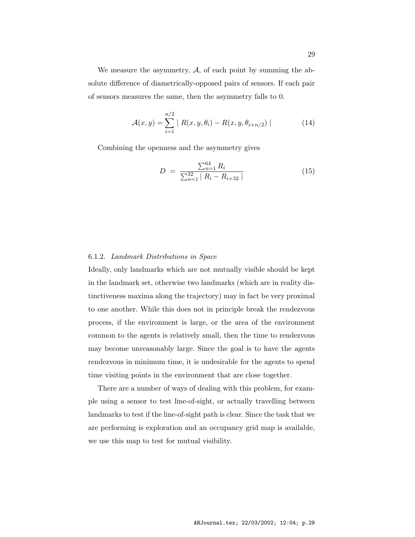We measure the asymmetry,  $A$ , of each point by summing the absolute difference of diametrically-opposed pairs of sensors. If each pair of sensors measures the same, then the asymmetry falls to 0.

$$
\mathcal{A}(x,y) = \sum_{i=1}^{n/2} | R(x,y,\theta_i) - R(x,y,\theta_{i+n/2}) |
$$
 (14)

Combining the openness and the asymmetry gives

$$
D = \frac{\sum_{n=1}^{64} R_i}{\sum_{n=1}^{32} |R_i - R_{i+32}|}
$$
(15)

#### 6.1.2. Landmark Distributions in Space

Ideally, only landmarks which are not mutually visible should be kept in the landmark set, otherwise two landmarks (which are in reality distinctiveness maxima along the trajectory) may in fact be very proximal to one another. While this does not in principle break the rendezvous process, if the environment is large, or the area of the environment common to the agents is relatively small, then the time to rendezvous may become unreasonably large. Since the goal is to have the agents rendezvous in minimum time, it is undesirable for the agents to spend time visiting points in the environment that are close together.

There are a number of ways of dealing with this problem, for example using a sensor to test line-of-sight, or actually travelling between landmarks to test if the line-of-sight path is clear. Since the task that we are performing is exploration and an occupancy grid map is available, we use this map to test for mutual visibility.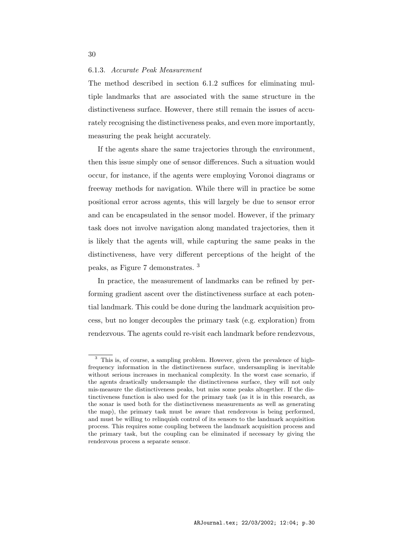#### 6.1.3. Accurate Peak Measurement

The method described in section 6.1.2 suffices for eliminating multiple landmarks that are associated with the same structure in the distinctiveness surface. However, there still remain the issues of accurately recognising the distinctiveness peaks, and even more importantly, measuring the peak height accurately.

If the agents share the same trajectories through the environment, then this issue simply one of sensor differences. Such a situation would occur, for instance, if the agents were employing Voronoi diagrams or freeway methods for navigation. While there will in practice be some positional error across agents, this will largely be due to sensor error and can be encapsulated in the sensor model. However, if the primary task does not involve navigation along mandated trajectories, then it is likely that the agents will, while capturing the same peaks in the distinctiveness, have very different perceptions of the height of the peaks, as Figure 7 demonstrates. <sup>3</sup>

In practice, the measurement of landmarks can be refined by performing gradient ascent over the distinctiveness surface at each potential landmark. This could be done during the landmark acquisition process, but no longer decouples the primary task (e.g. exploration) from rendezvous. The agents could re-visit each landmark before rendezvous,

<sup>3</sup> This is, of course, a sampling problem. However, given the prevalence of highfrequency information in the distinctiveness surface, undersampling is inevitable without serious increases in mechanical complexity. In the worst case scenario, if the agents drastically undersample the distinctiveness surface, they will not only mis-measure the distinctiveness peaks, but miss some peaks altogether. If the distinctiveness function is also used for the primary task (as it is in this research, as the sonar is used both for the distinctiveness measurements as well as generating the map), the primary task must be aware that rendezvous is being performed, and must be willing to relinquish control of its sensors to the landmark acquisition process. This requires some coupling between the landmark acquisition process and the primary task, but the coupling can be eliminated if necessary by giving the rendezvous process a separate sensor.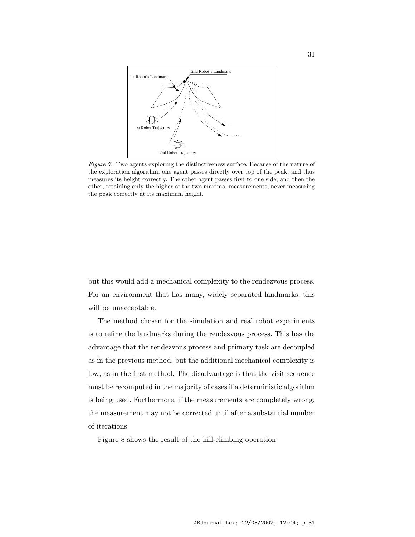

Figure 7. Two agents exploring the distinctiveness surface. Because of the nature of the exploration algorithm, one agent passes directly over top of the peak, and thus measures its height correctly. The other agent passes first to one side, and then the other, retaining only the higher of the two maximal measurements, never measuring the peak correctly at its maximum height.

but this would add a mechanical complexity to the rendezvous process. For an environment that has many, widely separated landmarks, this will be unacceptable.

The method chosen for the simulation and real robot experiments is to refine the landmarks during the rendezvous process. This has the advantage that the rendezvous process and primary task are decoupled as in the previous method, but the additional mechanical complexity is low, as in the first method. The disadvantage is that the visit sequence must be recomputed in the majority of cases if a deterministic algorithm is being used. Furthermore, if the measurements are completely wrong, the measurement may not be corrected until after a substantial number of iterations.

Figure 8 shows the result of the hill-climbing operation.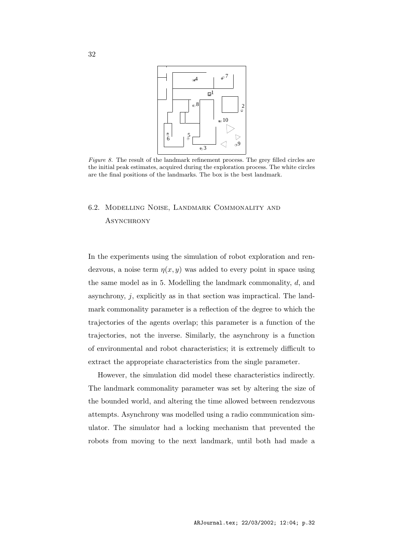

Figure 8. The result of the landmark refinement process. The grey filled circles are the initial peak estimates, acquired during the exploration process. The white circles are the final positions of the landmarks. The box is the best landmark.

# 6.2. Modelling Noise, Landmark Commonality and **ASYNCHRONY**

In the experiments using the simulation of robot exploration and rendezvous, a noise term  $\eta(x, y)$  was added to every point in space using the same model as in 5. Modelling the landmark commonality, d, and asynchrony, j, explicitly as in that section was impractical. The landmark commonality parameter is a reflection of the degree to which the trajectories of the agents overlap; this parameter is a function of the trajectories, not the inverse. Similarly, the asynchrony is a function of environmental and robot characteristics; it is extremely difficult to extract the appropriate characteristics from the single parameter.

However, the simulation did model these characteristics indirectly. The landmark commonality parameter was set by altering the size of the bounded world, and altering the time allowed between rendezvous attempts. Asynchrony was modelled using a radio communication simulator. The simulator had a locking mechanism that prevented the robots from moving to the next landmark, until both had made a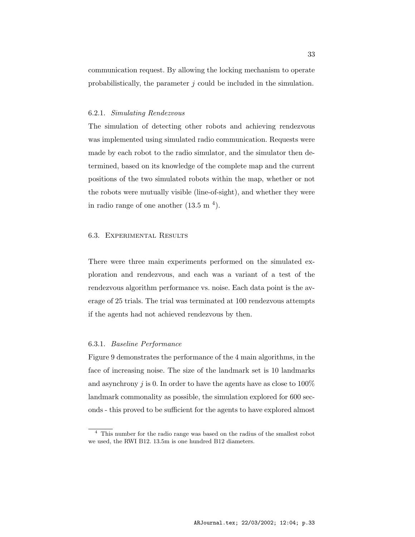communication request. By allowing the locking mechanism to operate probabilistically, the parameter  $j$  could be included in the simulation.

#### 6.2.1. Simulating Rendezvous

The simulation of detecting other robots and achieving rendezvous was implemented using simulated radio communication. Requests were made by each robot to the radio simulator, and the simulator then determined, based on its knowledge of the complete map and the current positions of the two simulated robots within the map, whether or not the robots were mutually visible (line-of-sight), and whether they were in radio range of one another  $(13.5 \text{ m}^4)$ .

#### 6.3. Experimental Results

There were three main experiments performed on the simulated exploration and rendezvous, and each was a variant of a test of the rendezvous algorithm performance vs. noise. Each data point is the average of 25 trials. The trial was terminated at 100 rendezvous attempts if the agents had not achieved rendezvous by then.

# 6.3.1. Baseline Performance

Figure 9 demonstrates the performance of the 4 main algorithms, in the face of increasing noise. The size of the landmark set is 10 landmarks and asynchrony  $j$  is 0. In order to have the agents have as close to 100% landmark commonality as possible, the simulation explored for 600 seconds - this proved to be sufficient for the agents to have explored almost

<sup>&</sup>lt;sup>4</sup> This number for the radio range was based on the radius of the smallest robot we used, the RWI B12. 13.5m is one hundred B12 diameters.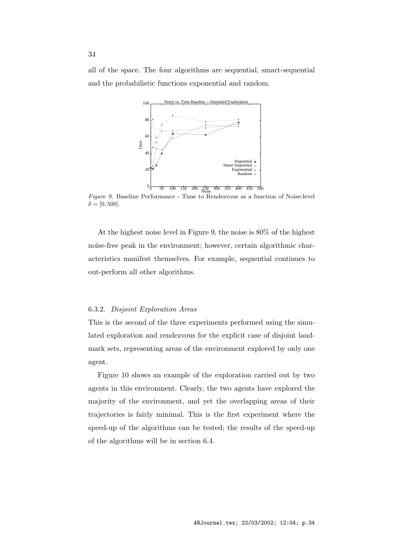all of the space. The four algorithms are sequential, smart-sequential and the probabilistic functions exponential and random.



Figure 9. Baseline Performance - Time to Rendezvous as a function of Noise-level  $\delta = [0, 500].$ 

At the highest noise level in Figure 9, the noise is 80% of the highest noise-free peak in the environment; however, certain algorithmic characteristics manifest themselves. For example, sequential continues to out-perform all other algorithms.

# 6.3.2. Disjoint Exploration Areas

This is the second of the three experiments performed using the simulated exploration and rendezvous for the explicit case of disjoint landmark sets, representing areas of the environment explored by only one agent.

Figure 10 shows an example of the exploration carried out by two agents in this environment. Clearly, the two agents have explored the majority of the environment, and yet the overlapping areas of their trajectories is fairly minimal. This is the first experiment where the speed-up of the algorithms can be tested; the results of the speed-up of the algorithms will be in section 6.4.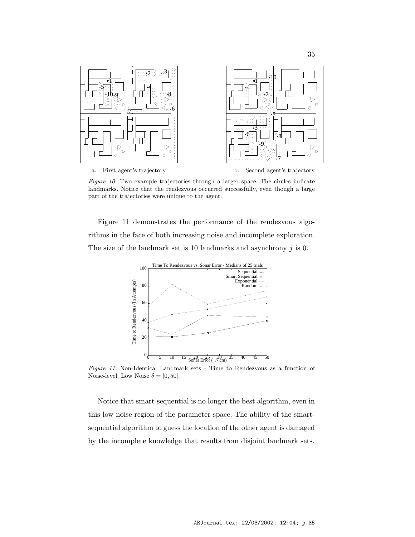

Figure 10. Two example trajectories through a larger space. The circles indicate landmarks. Notice that the rendezvous occurred successfully, even though a large part of the trajectories were unique to the agent.

Figure 11 demonstrates the performance of the rendezvous algorithms in the face of both increasing noise and incomplete exploration. The size of the landmark set is 10 landmarks and asynchrony j is 0.



Figure 11. Non-Identical Landmark sets - Time to Rendezvous as a function of Noise-level, Low Noise  $\delta = [0, 50]$ .

Notice that smart-sequential is no longer the best algorithm, even in this low noise region of the parameter space. The ability of the smartsequential algorithm to guess the location of the other agent is damaged by the incomplete knowledge that results from disjoint landmark sets.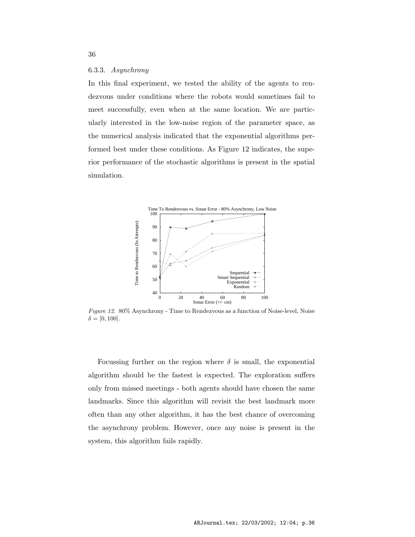#### 6.3.3. Asynchrony

In this final experiment, we tested the ability of the agents to rendezvous under conditions where the robots would sometimes fail to meet successfully, even when at the same location. We are particularly interested in the low-noise region of the parameter space, as the numerical analysis indicated that the exponential algorithms performed best under these conditions. As Figure 12 indicates, the superior performance of the stochastic algorithms is present in the spatial simulation.



Figure 12. 80% Asynchrony - Time to Rendezvous as a function of Noise-level, Noise  $\delta = [0, 100].$ 

Focussing further on the region where  $\delta$  is small, the exponential algorithm should be the fastest is expected. The exploration suffers only from missed meetings - both agents should have chosen the same landmarks. Since this algorithm will revisit the best landmark more often than any other algorithm, it has the best chance of overcoming the asynchrony problem. However, once any noise is present in the system, this algorithm fails rapidly.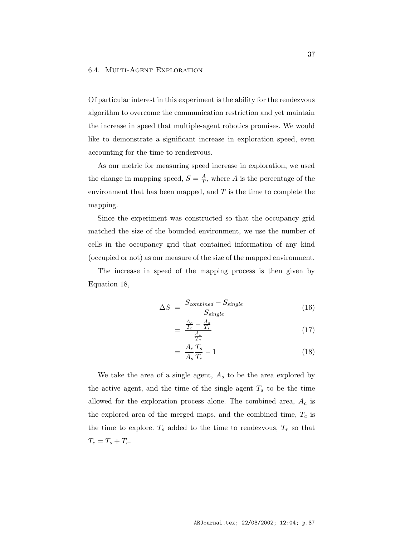Of particular interest in this experiment is the ability for the rendezvous algorithm to overcome the communication restriction and yet maintain the increase in speed that multiple-agent robotics promises. We would like to demonstrate a significant increase in exploration speed, even accounting for the time to rendezvous.

As our metric for measuring speed increase in exploration, we used the change in mapping speed,  $S = \frac{A}{T}$  $\frac{A}{T}$ , where A is the percentage of the environment that has been mapped, and  $T$  is the time to complete the mapping.

Since the experiment was constructed so that the occupancy grid matched the size of the bounded environment, we use the number of cells in the occupancy grid that contained information of any kind (occupied or not) as our measure of the size of the mapped environment.

The increase in speed of the mapping process is then given by Equation 18,

$$
\Delta S = \frac{S_{combined} - S_{single}}{S_{single}} \tag{16}
$$

$$
=\frac{\frac{A_c}{T_c} - \frac{A_s}{T_s}}{\frac{A_s}{T_c}}
$$
(17)

$$
=\frac{A_c}{A_s}\frac{T_s}{T_c}-1\tag{18}
$$

We take the area of a single agent,  $A<sub>s</sub>$  to be the area explored by the active agent, and the time of the single agent  $T_s$  to be the time allowed for the exploration process alone. The combined area,  $A_c$  is the explored area of the merged maps, and the combined time,  $T_c$  is the time to explore.  $T_s$  added to the time to rendezvous,  $T_r$  so that  $T_c = T_s + T_r.$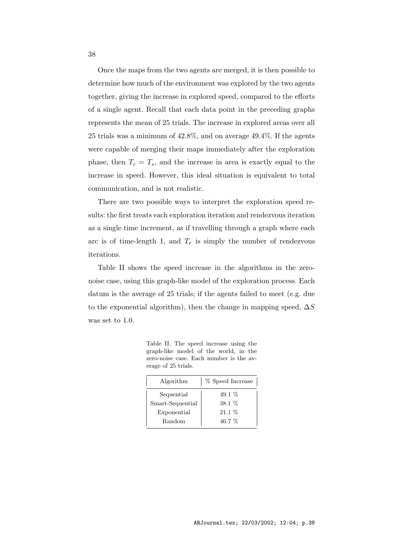Once the maps from the two agents are merged, it is then possible to determine how much of the environment was explored by the two agents together, giving the increase in explored speed, compared to the efforts of a single agent. Recall that each data point in the preceding graphs represents the mean of 25 trials. The increase in explored areas over all 25 trials was a minimum of 42.8%, and on average 49.4%. If the agents were capable of merging their maps immediately after the exploration phase, then  $T_c = T_s$ , and the increase in area is exactly equal to the increase in speed. However, this ideal situation is equivalent to total communication, and is not realistic.

There are two possible ways to interpret the exploration speed results: the first treats each exploration iteration and rendezvous iteration as a single time increment, as if travelling through a graph where each arc is of time-length 1, and  $T_r$  is simply the number of rendezvous iterations.

Table II shows the speed increase in the algorithms in the zeronoise case, using this graph-like model of the exploration process. Each datum is the average of 25 trials; if the agents failed to meet (e.g. due to the exponential algorithm), then the change in mapping speed,  $\Delta S$ was set to 1.0.

Table II. The speed increase using the graph-like model of the world, in the zero-noise case. Each number is the average of 25 trials.

| Algorithm        | $\%$ Speed Increase |
|------------------|---------------------|
| Sequential       | 49.1 $%$            |
| Smart-Sequential | $38.1\%$            |
| Exponential      | $21.1\%$            |
| Random           | 46.7 %              |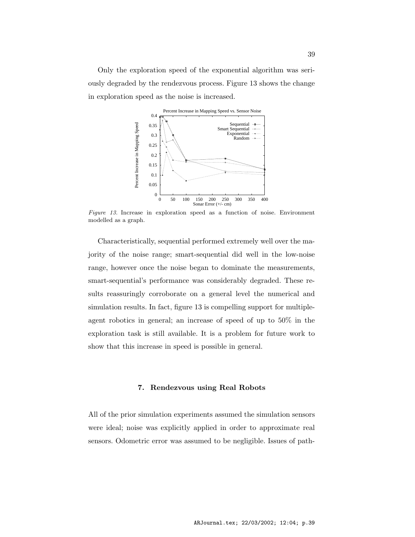Only the exploration speed of the exponential algorithm was seriously degraded by the rendezvous process. Figure 13 shows the change in exploration speed as the noise is increased.



Figure 13. Increase in exploration speed as a function of noise. Environment modelled as a graph.

Characteristically, sequential performed extremely well over the majority of the noise range; smart-sequential did well in the low-noise range, however once the noise began to dominate the measurements, smart-sequential's performance was considerably degraded. These results reassuringly corroborate on a general level the numerical and simulation results. In fact, figure 13 is compelling support for multipleagent robotics in general; an increase of speed of up to 50% in the exploration task is still available. It is a problem for future work to show that this increase in speed is possible in general.

# 7. Rendezvous using Real Robots

All of the prior simulation experiments assumed the simulation sensors were ideal; noise was explicitly applied in order to approximate real sensors. Odometric error was assumed to be negligible. Issues of path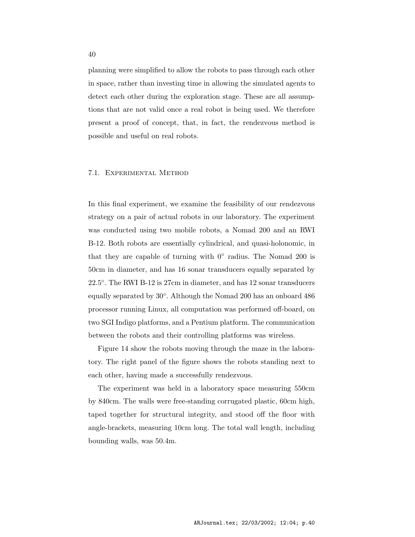planning were simplified to allow the robots to pass through each other in space, rather than investing time in allowing the simulated agents to detect each other during the exploration stage. These are all assumptions that are not valid once a real robot is being used. We therefore present a proof of concept, that, in fact, the rendezvous method is possible and useful on real robots.

#### 7.1. Experimental Method

In this final experiment, we examine the feasibility of our rendezvous strategy on a pair of actual robots in our laboratory. The experiment was conducted using two mobile robots, a Nomad 200 and an RWI B-12. Both robots are essentially cylindrical, and quasi-holonomic, in that they are capable of turning with  $0^{\circ}$  radius. The Nomad 200 is 50cm in diameter, and has 16 sonar transducers equally separated by 22.5 ◦ . The RWI B-12 is 27cm in diameter, and has 12 sonar transducers equally separated by 30◦ . Although the Nomad 200 has an onboard 486 processor running Linux, all computation was performed off-board, on two SGI Indigo platforms, and a Pentium platform. The communication between the robots and their controlling platforms was wireless.

Figure 14 show the robots moving through the maze in the laboratory. The right panel of the figure shows the robots standing next to each other, having made a successfully rendezvous.

The experiment was held in a laboratory space measuring 550cm by 840cm. The walls were free-standing corrugated plastic, 60cm high, taped together for structural integrity, and stood off the floor with angle-brackets, measuring 10cm long. The total wall length, including bounding walls, was 50.4m.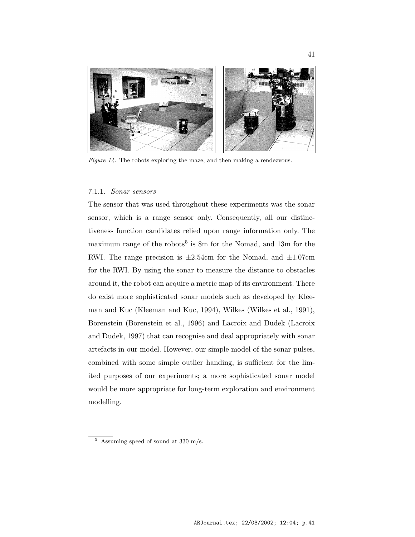

Figure 14. The robots exploring the maze, and then making a rendezvous.

#### 7.1.1. Sonar sensors

The sensor that was used throughout these experiments was the sonar sensor, which is a range sensor only. Consequently, all our distinctiveness function candidates relied upon range information only. The maximum range of the robots<sup>5</sup> is 8m for the Nomad, and 13m for the RWI. The range precision is  $\pm 2.54$ cm for the Nomad, and  $\pm 1.07$ cm for the RWI. By using the sonar to measure the distance to obstacles around it, the robot can acquire a metric map of its environment. There do exist more sophisticated sonar models such as developed by Kleeman and Kuc (Kleeman and Kuc, 1994), Wilkes (Wilkes et al., 1991), Borenstein (Borenstein et al., 1996) and Lacroix and Dudek (Lacroix and Dudek, 1997) that can recognise and deal appropriately with sonar artefacts in our model. However, our simple model of the sonar pulses, combined with some simple outlier handing, is sufficient for the limited purposes of our experiments; a more sophisticated sonar model would be more appropriate for long-term exploration and environment modelling.

 $5$  Assuming speed of sound at 330 m/s.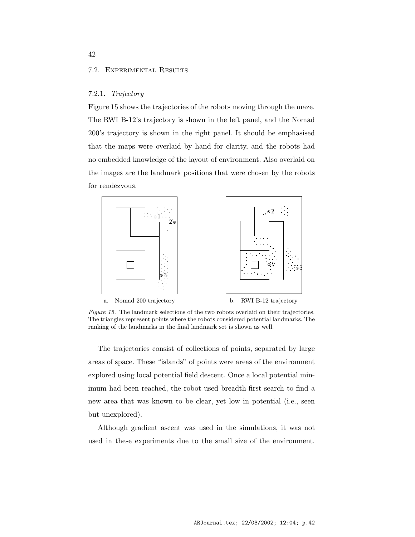#### 7.2. Experimental Results

### 7.2.1. Trajectory

Figure 15 shows the trajectories of the robots moving through the maze. The RWI B-12's trajectory is shown in the left panel, and the Nomad 200's trajectory is shown in the right panel. It should be emphasised that the maps were overlaid by hand for clarity, and the robots had no embedded knowledge of the layout of environment. Also overlaid on the images are the landmark positions that were chosen by the robots for rendezvous.



Figure 15. The landmark selections of the two robots overlaid on their trajectories. The triangles represent points where the robots considered potential landmarks. The ranking of the landmarks in the final landmark set is shown as well.

The trajectories consist of collections of points, separated by large areas of space. These "islands" of points were areas of the environment explored using local potential field descent. Once a local potential minimum had been reached, the robot used breadth-first search to find a new area that was known to be clear, yet low in potential (i.e., seen but unexplored).

Although gradient ascent was used in the simulations, it was not used in these experiments due to the small size of the environment.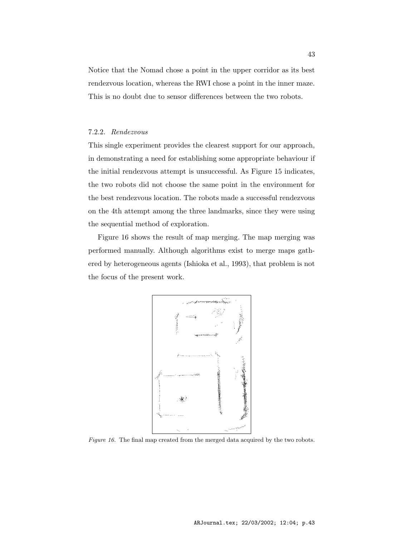Notice that the Nomad chose a point in the upper corridor as its best rendezvous location, whereas the RWI chose a point in the inner maze. This is no doubt due to sensor differences between the two robots.

# 7.2.2. Rendezvous

This single experiment provides the clearest support for our approach, in demonstrating a need for establishing some appropriate behaviour if the initial rendezvous attempt is unsuccessful. As Figure 15 indicates, the two robots did not choose the same point in the environment for the best rendezvous location. The robots made a successful rendezvous on the 4th attempt among the three landmarks, since they were using the sequential method of exploration.

Figure 16 shows the result of map merging. The map merging was performed manually. Although algorithms exist to merge maps gathered by heterogeneous agents (Ishioka et al., 1993), that problem is not the focus of the present work.



Figure 16. The final map created from the merged data acquired by the two robots.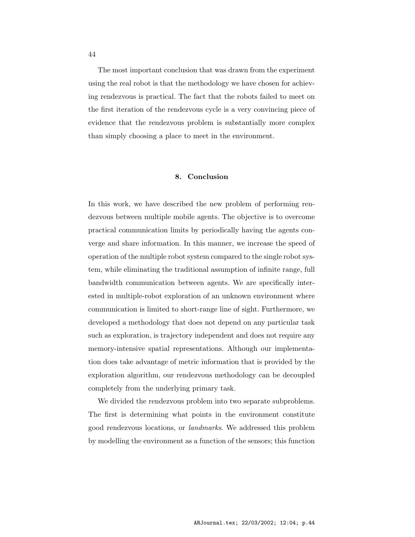The most important conclusion that was drawn from the experiment using the real robot is that the methodology we have chosen for achieving rendezvous is practical. The fact that the robots failed to meet on the first iteration of the rendezvous cycle is a very convincing piece of evidence that the rendezvous problem is substantially more complex than simply choosing a place to meet in the environment.

# 8. Conclusion

In this work, we have described the new problem of performing rendezvous between multiple mobile agents. The objective is to overcome practical communication limits by periodically having the agents converge and share information. In this manner, we increase the speed of operation of the multiple robot system compared to the single robot system, while eliminating the traditional assumption of infinite range, full bandwidth communication between agents. We are specifically interested in multiple-robot exploration of an unknown environment where communication is limited to short-range line of sight. Furthermore, we developed a methodology that does not depend on any particular task such as exploration, is trajectory independent and does not require any memory-intensive spatial representations. Although our implementation does take advantage of metric information that is provided by the exploration algorithm, our rendezvous methodology can be decoupled completely from the underlying primary task.

We divided the rendezvous problem into two separate subproblems. The first is determining what points in the environment constitute good rendezvous locations, or landmarks. We addressed this problem by modelling the environment as a function of the sensors; this function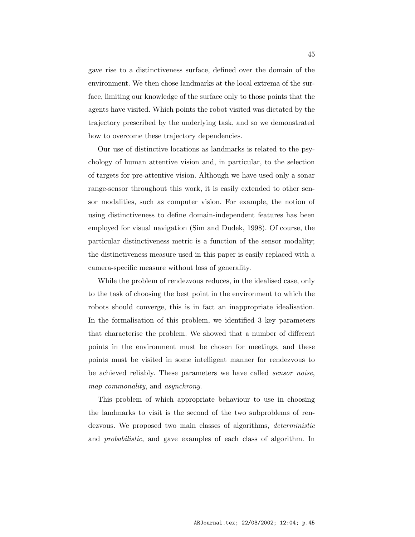gave rise to a distinctiveness surface, defined over the domain of the environment. We then chose landmarks at the local extrema of the surface, limiting our knowledge of the surface only to those points that the agents have visited. Which points the robot visited was dictated by the trajectory prescribed by the underlying task, and so we demonstrated how to overcome these trajectory dependencies.

Our use of distinctive locations as landmarks is related to the psychology of human attentive vision and, in particular, to the selection of targets for pre-attentive vision. Although we have used only a sonar range-sensor throughout this work, it is easily extended to other sensor modalities, such as computer vision. For example, the notion of using distinctiveness to define domain-independent features has been employed for visual navigation (Sim and Dudek, 1998). Of course, the particular distinctiveness metric is a function of the sensor modality; the distinctiveness measure used in this paper is easily replaced with a camera-specific measure without loss of generality.

While the problem of rendezvous reduces, in the idealised case, only to the task of choosing the best point in the environment to which the robots should converge, this is in fact an inappropriate idealisation. In the formalisation of this problem, we identified 3 key parameters that characterise the problem. We showed that a number of different points in the environment must be chosen for meetings, and these points must be visited in some intelligent manner for rendezvous to be achieved reliably. These parameters we have called sensor noise, map commonality, and asynchrony.

This problem of which appropriate behaviour to use in choosing the landmarks to visit is the second of the two subproblems of rendezvous. We proposed two main classes of algorithms, *deterministic* and probabilistic, and gave examples of each class of algorithm. In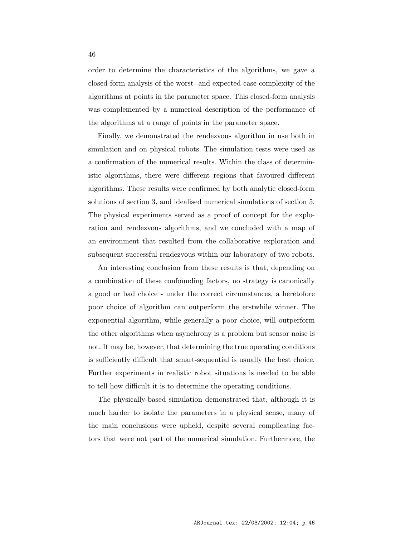order to determine the characteristics of the algorithms, we gave a closed-form analysis of the worst- and expected-case complexity of the algorithms at points in the parameter space. This closed-form analysis was complemented by a numerical description of the performance of the algorithms at a range of points in the parameter space.

Finally, we demonstrated the rendezvous algorithm in use both in simulation and on physical robots. The simulation tests were used as a confirmation of the numerical results. Within the class of deterministic algorithms, there were different regions that favoured different algorithms. These results were confirmed by both analytic closed-form solutions of section 3, and idealised numerical simulations of section 5. The physical experiments served as a proof of concept for the exploration and rendezvous algorithms, and we concluded with a map of an environment that resulted from the collaborative exploration and subsequent successful rendezvous within our laboratory of two robots.

An interesting conclusion from these results is that, depending on a combination of these confounding factors, no strategy is canonically a good or bad choice - under the correct circumstances, a heretofore poor choice of algorithm can outperform the erstwhile winner. The exponential algorithm, while generally a poor choice, will outperform the other algorithms when asynchrony is a problem but sensor noise is not. It may be, however, that determining the true operating conditions is sufficiently difficult that smart-sequential is usually the best choice. Further experiments in realistic robot situations is needed to be able to tell how difficult it is to determine the operating conditions.

The physically-based simulation demonstrated that, although it is much harder to isolate the parameters in a physical sense, many of the main conclusions were upheld, despite several complicating factors that were not part of the numerical simulation. Furthermore, the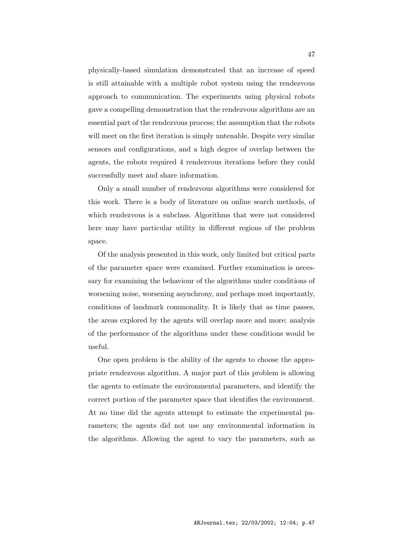physically-based simulation demonstrated that an increase of speed is still attainable with a multiple robot system using the rendezvous approach to communication. The experiments using physical robots gave a compelling demonstration that the rendezvous algorithms are an essential part of the rendezvous process; the assumption that the robots will meet on the first iteration is simply untenable. Despite very similar sensors and configurations, and a high degree of overlap between the agents, the robots required 4 rendezvous iterations before they could successfully meet and share information.

Only a small number of rendezvous algorithms were considered for this work. There is a body of literature on online search methods, of which rendezvous is a subclass. Algorithms that were not considered here may have particular utility in different regions of the problem space.

Of the analysis presented in this work, only limited but critical parts of the parameter space were examined. Further examination is necessary for examining the behaviour of the algorithms under conditions of worsening noise, worsening asynchrony, and perhaps most importantly, conditions of landmark commonality. It is likely that as time passes, the areas explored by the agents will overlap more and more; analysis of the performance of the algorithms under these conditions would be useful.

One open problem is the ability of the agents to choose the appropriate rendezvous algorithm. A major part of this problem is allowing the agents to estimate the environmental parameters, and identify the correct portion of the parameter space that identifies the environment. At no time did the agents attempt to estimate the experimental parameters; the agents did not use any environmental information in the algorithms. Allowing the agent to vary the parameters, such as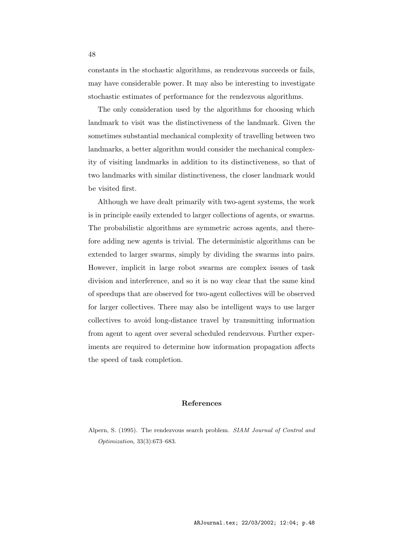constants in the stochastic algorithms, as rendezvous succeeds or fails, may have considerable power. It may also be interesting to investigate stochastic estimates of performance for the rendezvous algorithms.

The only consideration used by the algorithms for choosing which landmark to visit was the distinctiveness of the landmark. Given the sometimes substantial mechanical complexity of travelling between two landmarks, a better algorithm would consider the mechanical complexity of visiting landmarks in addition to its distinctiveness, so that of two landmarks with similar distinctiveness, the closer landmark would be visited first.

Although we have dealt primarily with two-agent systems, the work is in principle easily extended to larger collections of agents, or swarms. The probabilistic algorithms are symmetric across agents, and therefore adding new agents is trivial. The deterministic algorithms can be extended to larger swarms, simply by dividing the swarms into pairs. However, implicit in large robot swarms are complex issues of task division and interference, and so it is no way clear that the same kind of speedups that are observed for two-agent collectives will be observed for larger collectives. There may also be intelligent ways to use larger collectives to avoid long-distance travel by transmitting information from agent to agent over several scheduled rendezvous. Further experiments are required to determine how information propagation affects the speed of task completion.

# References

Alpern, S. (1995). The rendezvous search problem. SIAM Journal of Control and Optimization, 33(3):673–683.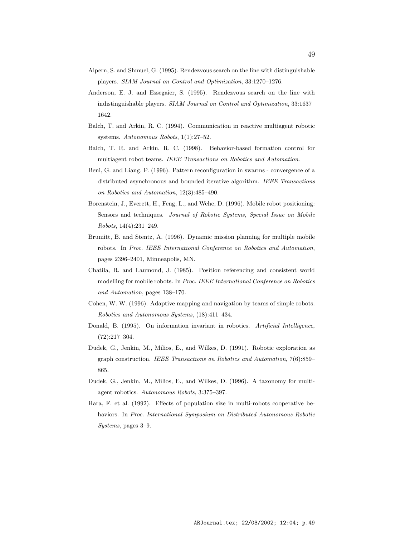- Alpern, S. and Shmuel, G. (1995). Rendezvous search on the line with distinguishable players. SIAM Journal on Control and Optimization, 33:1270–1276.
- Anderson, E. J. and Essegaier, S. (1995). Rendezvous search on the line with indistinguishable players. SIAM Journal on Control and Optimization, 33:1637– 1642.
- Balch, T. and Arkin, R. C. (1994). Communication in reactive multiagent robotic systems. Autonomous Robots, 1(1):27–52.
- Balch, T. R. and Arkin, R. C. (1998). Behavior-based formation control for multiagent robot teams. IEEE Transactions on Robotics and Automation.
- Beni, G. and Liang, P. (1996). Pattern reconfiguration in swarms convergence of a distributed asynchronous and bounded iterative algorithm. IEEE Transactions on Robotics and Automation, 12(3):485–490.
- Borenstein, J., Everett, H., Feng, L., and Wehe, D. (1996). Mobile robot positioning: Sensors and techniques. Journal of Robotic Systems, Special Issue on Mobile Robots, 14(4):231–249.
- Brumitt, B. and Stentz, A. (1996). Dynamic mission planning for multiple mobile robots. In Proc. IEEE International Conference on Robotics and Automation, pages 2396–2401, Minneapolis, MN.
- Chatila, R. and Laumond, J. (1985). Position referencing and consistent world modelling for mobile robots. In Proc. IEEE International Conference on Robotics and Automation, pages 138–170.
- Cohen, W. W. (1996). Adaptive mapping and navigation by teams of simple robots. Robotics and Autonomous Systems, (18):411–434.
- Donald, B. (1995). On information invariant in robotics. Artificial Intelligence, (72):217–304.
- Dudek, G., Jenkin, M., Milios, E., and Wilkes, D. (1991). Robotic exploration as graph construction. IEEE Transactions on Robotics and Automation, 7(6):859– 865.
- Dudek, G., Jenkin, M., Milios, E., and Wilkes, D. (1996). A taxonomy for multiagent robotics. Autonomous Robots, 3:375–397.
- Hara, F. et al. (1992). Effects of population size in multi-robots cooperative behaviors. In Proc. International Symposium on Distributed Autonomous Robotic Systems, pages 3–9.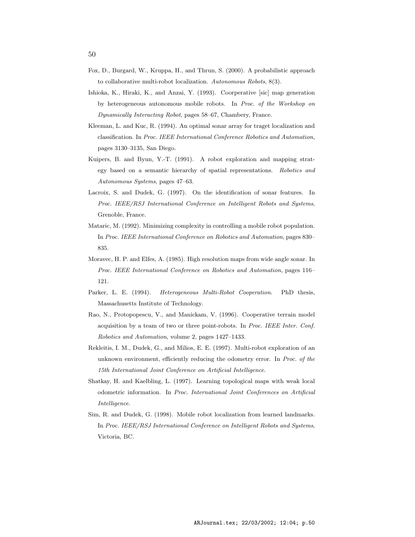- Fox, D., Burgard, W., Kruppa, H., and Thrun, S. (2000). A probabilistic approach to collaborative multi-robot localization. Autonomous Robots, 8(3).
- Ishioka, K., Hiraki, K., and Anzai, Y. (1993). Coorperative [sic] map generation by heterogeneous autonomous mobile robots. In Proc. of the Workshop on Dynamically Interacting Robot, pages 58–67, Chambery, France.
- Kleeman, L. and Kuc, R. (1994). An optimal sonar array for traget localization and classification. In Proc. IEEE International Conference Robotics and Automation, pages 3130–3135, San Diego.
- Kuipers, B. and Byun, Y.-T. (1991). A robot exploration and mapping strategy based on a semantic hierarchy of spatial representations. Robotics and Autonomous Systems, pages 47–63.
- Lacroix, S. and Dudek, G. (1997). On the identification of sonar features. In Proc. IEEE/RSJ International Conference on Intelligent Robots and Systems, Grenoble, France.
- Mataric, M. (1992). Minimizing complexity in controlling a mobile robot population. In Proc. IEEE International Conference on Robotics and Automation, pages 830– 835.
- Moravec, H. P. and Elfes, A. (1985). High resolution maps from wide angle sonar. In Proc. IEEE International Conference on Robotics and Automation, pages 116– 121.
- Parker, L. E. (1994). Heterogeneous Multi-Robot Cooperation. PhD thesis, Massachusetts Institute of Technology.
- Rao, N., Protopopescu, V., and Manickam, V. (1996). Cooperative terrain model acquisition by a team of two or three point-robots. In Proc. IEEE Inter. Conf. Robotics and Automation, volume 2, pages 1427–1433.
- Rekleitis, I. M., Dudek, G., and Milios, E. E. (1997). Multi-robot exploration of an unknown environment, efficiently reducing the odometry error. In Proc. of the 15th International Joint Conference on Artificial Intelligence.
- Shatkay, H. and Kaelbling, L. (1997). Learning topological maps with weak local odometric information. In Proc. International Joint Conferences on Artificial Intelligence.
- Sim, R. and Dudek, G. (1998). Mobile robot localization from learned landmarks. In Proc. IEEE/RSJ International Conference on Intelligent Robots and Systems, Victoria, BC.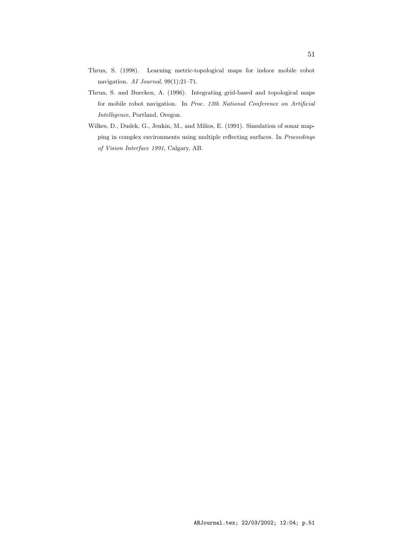- Thrun, S. (1998). Learning metric-topological maps for indoor mobile robot navigation. AI Journal, 99(1):21–71.
- Thrun, S. and Buecken, A. (1996). Integrating grid-based and topological maps for mobile robot navigation. In Proc. 13th National Conference on Artificial Intelligence, Portland, Oregon.
- Wilkes, D., Dudek, G., Jenkin, M., and Milios, E. (1991). Simulation of sonar mapping in complex environments using multiple reflecting surfaces. In Proceedings of Vision Interface 1991, Calgary, AB.